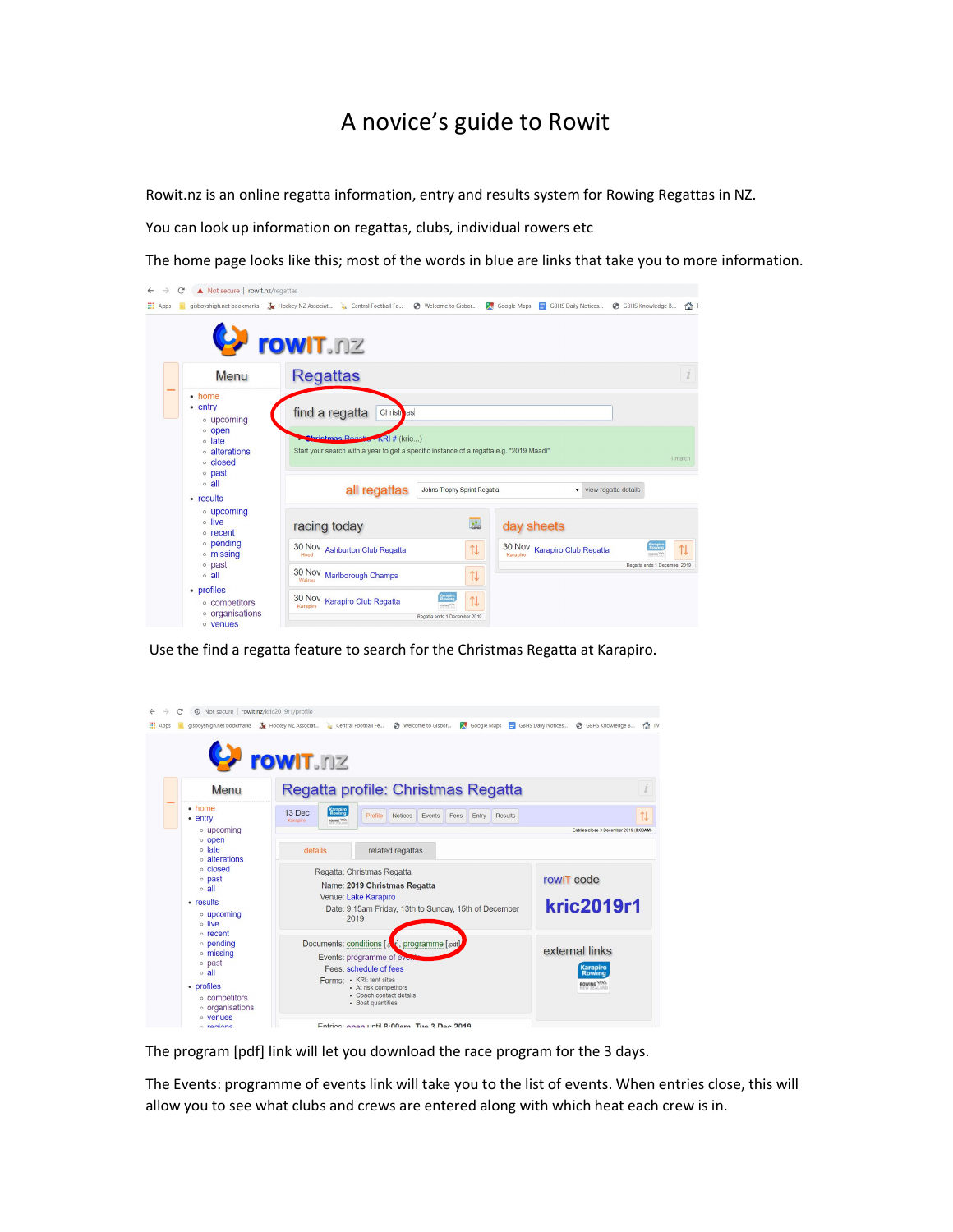## A novice's guide to Rowit

Rowit.nz is an online regatta information, entry and results system for Rowing Regattas in NZ.

You can look up information on regattas, clubs, individual rowers etc

The home page looks like this; most of the words in blue are links that take you to more information.



Use the find a regatta feature to search for the Christmas Regatta at Karapiro.



The program [pdf] link will let you download the race program for the 3 days.

The Events: programme of events link will take you to the list of events. When entries close, this will allow you to see what clubs and crews are entered along with which heat each crew is in.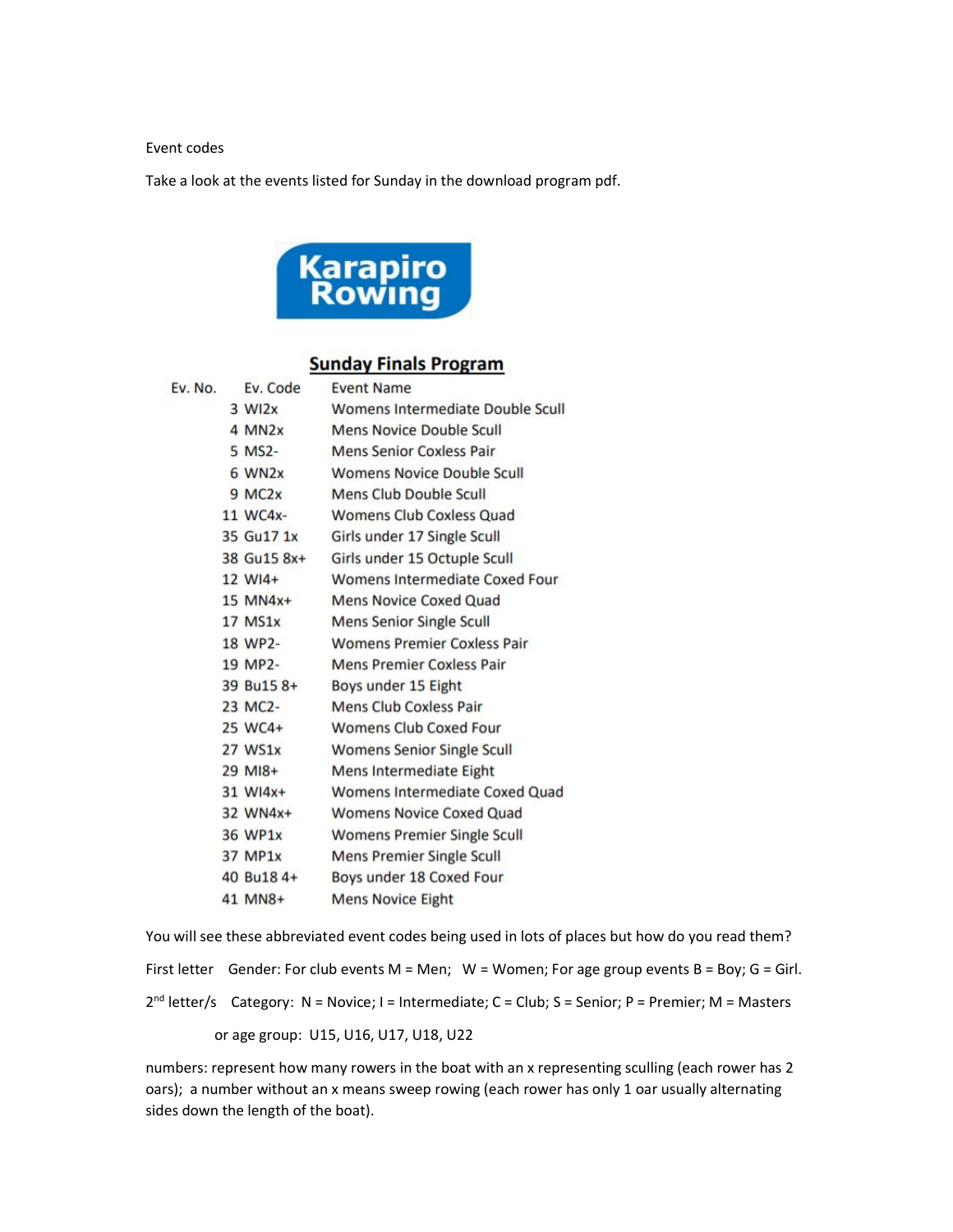## Event codes

Take a look at the events listed for Sunday in the download program pdf.



## **Sunday Finals Program**

| Ev. No. | Ev. Code              | <b>Event Name</b>                     |
|---------|-----------------------|---------------------------------------|
|         | $3$ WI <sub>2</sub> x | Womens Intermediate Double Scull      |
|         | 4 MN <sub>2</sub> x   | <b>Mens Novice Double Scull</b>       |
|         | 5 MS2-                | <b>Mens Senior Coxless Pair</b>       |
|         | 6 WN2x                | <b>Womens Novice Double Scull</b>     |
|         | $9$ MC <sub>2x</sub>  | Mens Club Double Scull                |
|         | 11 WC4x-              | <b>Womens Club Coxless Quad</b>       |
|         | 35 Gu17 1x            | Girls under 17 Single Scull           |
|         | 38 Gu15 8x+           | Girls under 15 Octuple Scull          |
|         | $12 W14+$             | <b>Womens Intermediate Coxed Four</b> |
|         | $15$ MN4 $x+$         | <b>Mens Novice Coxed Quad</b>         |
|         | <b>17 MS1x</b>        | <b>Mens Senior Single Scull</b>       |
|         | 18 WP2-               | <b>Womens Premier Coxless Pair</b>    |
|         | 19 MP2-               | <b>Mens Premier Coxless Pair</b>      |
|         | 39 Bu15 8+            | Boys under 15 Eight                   |
|         | 23 MC2-               | <b>Mens Club Coxless Pair</b>         |
|         | 25 WC4+               | <b>Womens Club Coxed Four</b>         |
|         | 27 WS1x               | <b>Womens Senior Single Scull</b>     |
|         | 29 MI8+               | Mens Intermediate Eight               |
|         | 31 WI4x+              | Womens Intermediate Coxed Quad        |
|         | 32 WN4x+              | <b>Womens Novice Coxed Quad</b>       |
|         | 36 WP1x               | <b>Womens Premier Single Scull</b>    |
|         | 37 MP1x               | <b>Mens Premier Single Scull</b>      |
|         | 40 Bu18 4+            | Boys under 18 Coxed Four              |
|         | 41 MN8+               | <b>Mens Novice Eight</b>              |

You will see these abbreviated event codes being used in lots of places but how do you read them? First letter Gender: For club events M = Men; W = Women; For age group events B = Boy; G = Girl. 2<sup>nd</sup> letter/s Category: N = Novice; I = Intermediate; C = Club; S = Senior; P = Premier; M = Masters or age group: U15, U16, U17, U18, U22

numbers: represent how many rowers in the boat with an x representing sculling (each rower has 2 oars); a number without an x means sweep rowing (each rower has only 1 oar usually alternating sides down the length of the boat).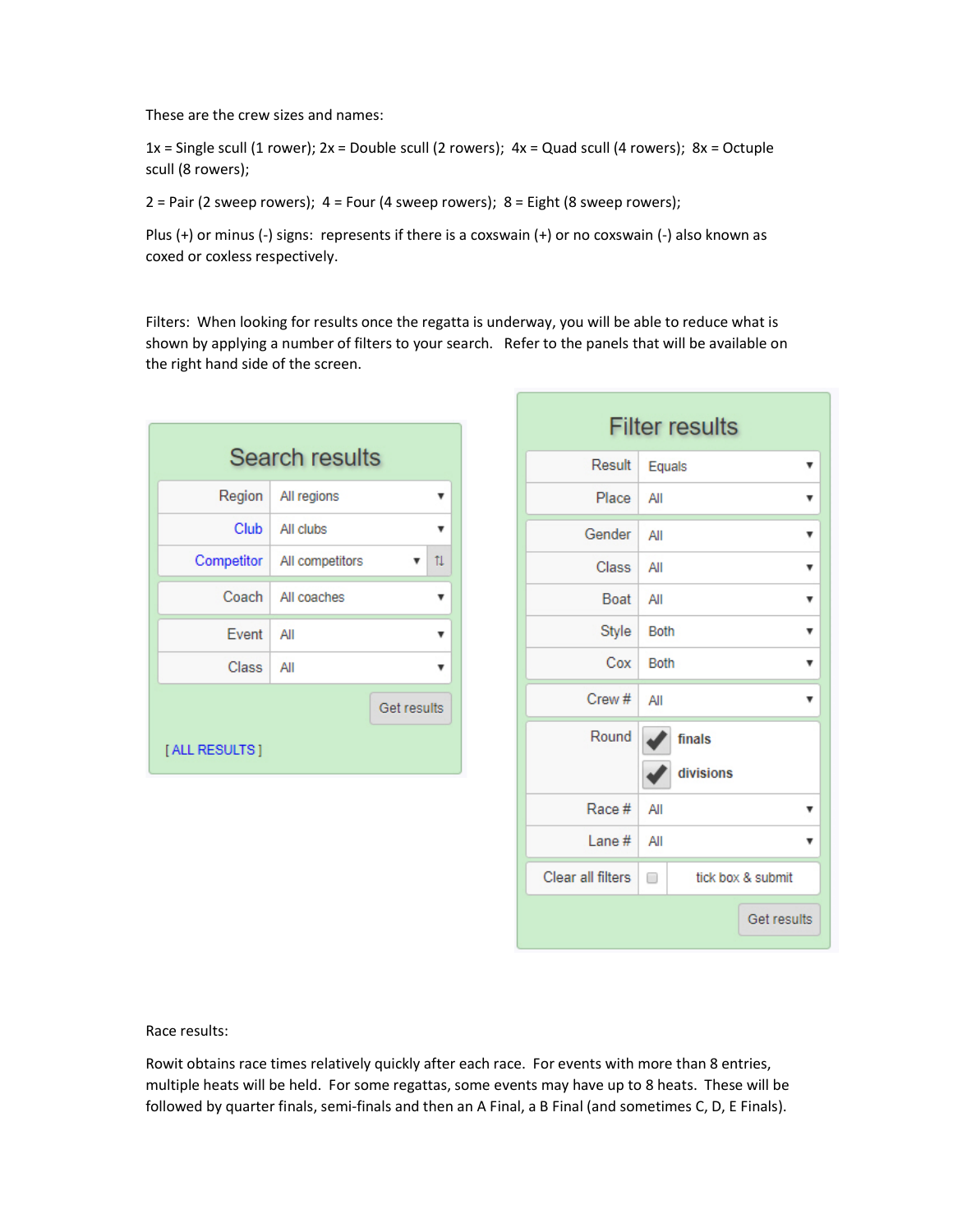These are the crew sizes and names:

 $1x =$  Single scull (1 rower);  $2x =$  Double scull (2 rowers);  $4x =$  Quad scull (4 rowers);  $8x =$  Octuple scull (8 rowers);

 $2 =$  Pair (2 sweep rowers);  $4 =$  Four (4 sweep rowers);  $8 =$  Eight (8 sweep rowers);

Plus (+) or minus (-) signs: represents if there is a coxswain (+) or no coxswain (-) also known as coxed or coxless respectively.

Filters: When looking for results once the regatta is underway, you will be able to reduce what is shown by applying a number of filters to your search. Refer to the panels that will be available on the right hand side of the screen.

| <b>Search results</b> |                              |             |  |  |  |  |
|-----------------------|------------------------------|-------------|--|--|--|--|
|                       | Region All regions           |             |  |  |  |  |
|                       | Club   All clubs             |             |  |  |  |  |
|                       | Competitor   All competitors | 11          |  |  |  |  |
|                       | Coach   All coaches          |             |  |  |  |  |
| Event                 | All                          |             |  |  |  |  |
| Class                 | All                          |             |  |  |  |  |
|                       |                              | Get results |  |  |  |  |
| [ALL RESULTS ]        |                              |             |  |  |  |  |

| <b>Filter results</b> |                        |  |  |  |  |  |  |
|-----------------------|------------------------|--|--|--|--|--|--|
| Result                | Equals<br>▼            |  |  |  |  |  |  |
| Place                 | All<br>v               |  |  |  |  |  |  |
| Gender                | All<br>▼               |  |  |  |  |  |  |
| Class                 | All<br>۷               |  |  |  |  |  |  |
| Boat                  | All<br>v               |  |  |  |  |  |  |
| Style                 | <b>Both</b><br>v       |  |  |  |  |  |  |
| Cox                   | <b>Both</b><br>▼       |  |  |  |  |  |  |
| Crew#                 | All<br>v               |  |  |  |  |  |  |
| Round                 | finals<br>divisions    |  |  |  |  |  |  |
| Race #                | All<br>▼               |  |  |  |  |  |  |
| Lane#                 | All<br>v               |  |  |  |  |  |  |
| Clear all filters     | tick box & submit<br>□ |  |  |  |  |  |  |
|                       | Get results            |  |  |  |  |  |  |

Race results:

Rowit obtains race times relatively quickly after each race. For events with more than 8 entries, multiple heats will be held. For some regattas, some events may have up to 8 heats. These will be followed by quarter finals, semi-finals and then an A Final, a B Final (and sometimes C, D, E Finals).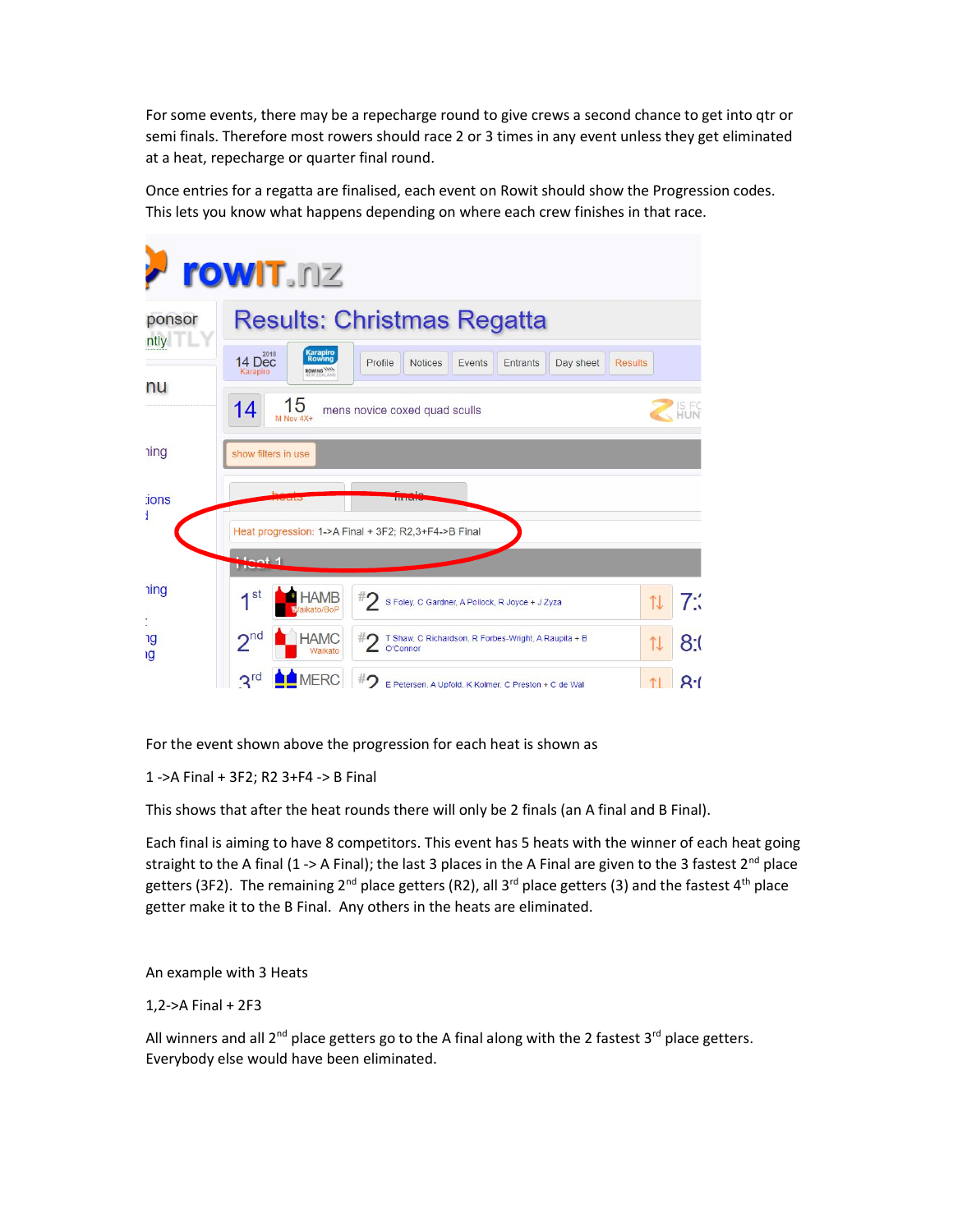For some events, there may be a repecharge round to give crews a second chance to get into qtr or semi finals. Therefore most rowers should race 2 or 3 times in any event unless they get eliminated at a heat, repecharge or quarter final round.

Once entries for a regatta are finalised, each event on Rowit should show the Progression codes. This lets you know what happens depending on where each crew finishes in that race.

|                      | <b>rowIT.nz</b>                                                                                                                          |                       |              |  |  |  |  |  |
|----------------------|------------------------------------------------------------------------------------------------------------------------------------------|-----------------------|--------------|--|--|--|--|--|
| ponsor<br>ntly<br>nu | <b>Results: Christmas Regatta</b>                                                                                                        |                       |              |  |  |  |  |  |
|                      | Karapiro<br>Rowing<br>14 Dec<br><b>Notices</b><br>Profile<br>Events<br>Entrants<br>Day sheet<br><b>Results</b><br>ROWING WAY<br>Karapiro |                       |              |  |  |  |  |  |
|                      | 15<br>14<br>mens novice coxed quad sculls<br>M Nov $4X+$                                                                                 |                       | IS F.<br>HUN |  |  |  |  |  |
| <b>ning</b>          | show filters in use                                                                                                                      |                       |              |  |  |  |  |  |
| :ions<br>ł           |                                                                                                                                          |                       |              |  |  |  |  |  |
|                      | Heat progression: 1->A Final + 3F2; R2,3+F4->B Final<br>1 أعماك                                                                          |                       |              |  |  |  |  |  |
| <b>ning</b>          | $\sim$ st<br><b>HAMB</b><br>#2 s Foley, C Gardner, A Pollock, R Joyce + J Zyza<br>aikato/BoP                                             |                       | 7:1          |  |  |  |  |  |
| t,<br>٦g<br>ıg       | 2 <sup>nd</sup><br><b>HAMC</b><br>#2 T Shaw, C Richardson, R Forbes-Wright, A Raupita + B<br>O'Connor<br>Waikato                         | $\uparrow \downarrow$ | 8:0          |  |  |  |  |  |
|                      | <b>MERC</b><br>$2^{rd}$<br>$^{\#}$ 2 E Petersen, A Upfold, K Kolmer, C Preston + C de Wal                                                |                       | R·           |  |  |  |  |  |

For the event shown above the progression for each heat is shown as

1 ->A Final + 3F2; R2 3+F4 -> B Final

This shows that after the heat rounds there will only be 2 finals (an A final and B Final).

Each final is aiming to have 8 competitors. This event has 5 heats with the winner of each heat going straight to the A final (1 -> A Final); the last 3 places in the A Final are given to the 3 fastest  $2^{nd}$  place getters (3F2). The remaining 2<sup>nd</sup> place getters (R2), all 3<sup>rd</sup> place getters (3) and the fastest 4<sup>th</sup> place getter make it to the B Final. Any others in the heats are eliminated.

An example with 3 Heats

1,2->A Final + 2F3

All winners and all  $2^{nd}$  place getters go to the A final along with the 2 fastest  $3^{rd}$  place getters. Everybody else would have been eliminated.